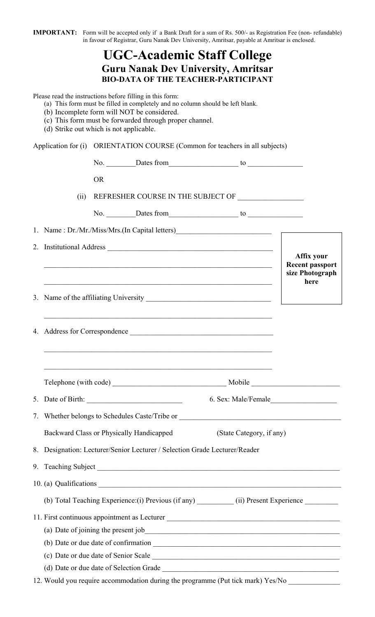**IMPORTANT:** Form will be accepted only if a Bank Draft for a sum of Rs. 500/- as Registration Fee (non- refundable) in favour of Registrar, Guru Nanak Dev University, Amritsar, payable at Amritsar is enclosed.

## **UGC-Academic Staff College Guru Nanak Dev University, Amritsar BIO-DATA OF THE TEACHER-PARTICIPANT**

Please read the instructions before filling in this form:

- (a) This form must be filled in completely and no column should be left blank.
- (b) Incomplete form will NOT be considered.
- (c) This form must be forwarded through proper channel.
- (d) Strike out which is not applicable.

Application for (i) ORIENTATION COURSE (Common for teachers in all subjects)

|    |                                                                         | <b>OR</b>                                       |  |                                                                                                                       |  |                                      |  |
|----|-------------------------------------------------------------------------|-------------------------------------------------|--|-----------------------------------------------------------------------------------------------------------------------|--|--------------------------------------|--|
|    | (ii)                                                                    |                                                 |  | REFRESHER COURSE IN THE SUBJECT OF _________________                                                                  |  |                                      |  |
|    |                                                                         |                                                 |  |                                                                                                                       |  |                                      |  |
|    |                                                                         |                                                 |  | 1. Name: Dr./Mr./Miss/Mrs.(In Capital letters)__________________________________                                      |  |                                      |  |
|    |                                                                         |                                                 |  |                                                                                                                       |  |                                      |  |
|    |                                                                         |                                                 |  | <u> 1999 - Johann John Stone, Amerikaansk politiker (d. 1989)</u>                                                     |  | Affix your<br><b>Recent passport</b> |  |
|    |                                                                         |                                                 |  | <u> 1989 - Johann Harry Harry Harry Harry Harry Harry Harry Harry Harry Harry Harry Harry Harry Harry Harry Harry</u> |  | size Photograph<br>here              |  |
|    |                                                                         |                                                 |  |                                                                                                                       |  |                                      |  |
|    |                                                                         |                                                 |  | <u> 1989 - Johann John Stoff, deutscher Stoffen und der Stoffen und der Stoffen und der Stoffen und der Stoffen</u>   |  |                                      |  |
|    |                                                                         |                                                 |  |                                                                                                                       |  |                                      |  |
|    |                                                                         |                                                 |  | <u> 1989 - Johann Barn, mars and deur de Barn, mars and deur deur deur de Barn, mars and deur de Barn, mars and d</u> |  |                                      |  |
|    |                                                                         |                                                 |  |                                                                                                                       |  |                                      |  |
|    |                                                                         |                                                 |  |                                                                                                                       |  |                                      |  |
|    |                                                                         |                                                 |  |                                                                                                                       |  |                                      |  |
|    |                                                                         |                                                 |  | 7. Whether belongs to Schedules Caste/Tribe or _________________________________                                      |  |                                      |  |
|    |                                                                         | <b>Backward Class or Physically Handicapped</b> |  | (State Category, if any)                                                                                              |  |                                      |  |
| 8. | Designation: Lecturer/Senior Lecturer / Selection Grade Lecturer/Reader |                                                 |  |                                                                                                                       |  |                                      |  |
|    |                                                                         |                                                 |  |                                                                                                                       |  |                                      |  |
|    |                                                                         |                                                 |  |                                                                                                                       |  |                                      |  |
|    |                                                                         |                                                 |  | (b) Total Teaching Experience: (i) Previous (if any) ____________ (ii) Present Experience __________                  |  |                                      |  |
|    |                                                                         |                                                 |  | 11. First continuous appointment as Lecturer                                                                          |  |                                      |  |
|    |                                                                         |                                                 |  |                                                                                                                       |  |                                      |  |
|    |                                                                         |                                                 |  |                                                                                                                       |  |                                      |  |
|    |                                                                         |                                                 |  |                                                                                                                       |  |                                      |  |
|    |                                                                         |                                                 |  |                                                                                                                       |  |                                      |  |
|    |                                                                         |                                                 |  | $\mathbf{r} = \begin{pmatrix} 1 & 1 & 1 \\ 1 & 1 & 1 \end{pmatrix}$                                                   |  |                                      |  |

12. Would you require accommodation during the programme (Put tick mark) Yes/No \_